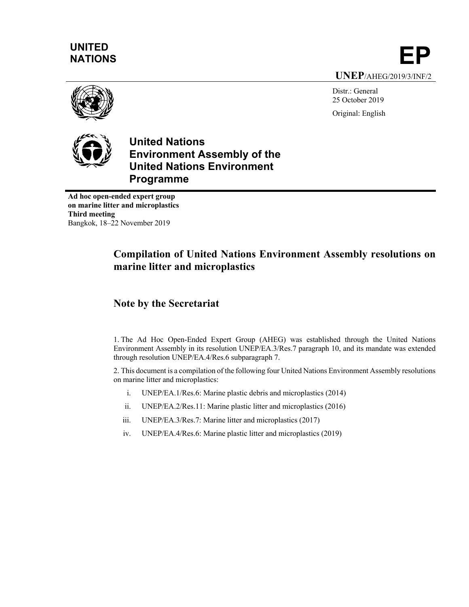# **UNITED**

UNITED<br>NATIONS **EP UNEP**/AHEG/2019/3/INF/2

Distr.: General 25 October 2019 Original: English



**United Nations Environment Assembly of the United Nations Environment Programme**

**Ad hoc open-ended expert group on marine litter and microplastics Third meeting** Bangkok, 18–22 November 2019

# **Compilation of United Nations Environment Assembly resolutions on marine litter and microplastics**

## **Note by the Secretariat**

1. The Ad Hoc Open-Ended Expert Group (AHEG) was established through the United Nations Environment Assembly in its resolution UNEP/EA.3/Res.7 paragraph 10, and its mandate was extended through resolution UNEP/EA.4/Res.6 subparagraph 7.

2. This document is a compilation of the following four United Nations Environment Assembly resolutions on marine litter and microplastics:

- i. UNEP/EA.1/Res.6: Marine plastic debris and microplastics (2014)
- ii. UNEP/EA.2/Res.11: Marine plastic litter and microplastics (2016)
- iii. UNEP/EA.3/Res.7: Marine litter and microplastics (2017)
- iv. UNEP/EA.4/Res.6: Marine plastic litter and microplastics (2019)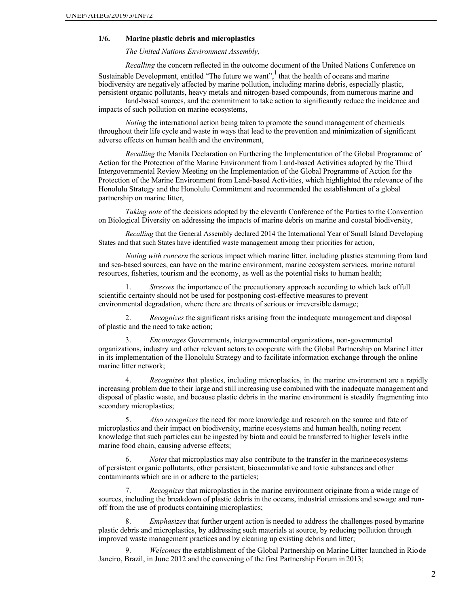#### **1/6. Marine plastic debris and microplastics**

*The United Nations Environment Assembly,*

*Recalling* the concern reflected in the outcome document of the United Nations Conference on Sustainable Development, entitled "The future we want",  $\frac{1}{1}$  that the health of oceans and marine biodiversity are negatively affected by marine pollution, including marine debris, especially plastic, persistent organic pollutants, heavy metals and nitrogen-based compounds, from numerous marine and

land-based sources, and the commitment to take action to significantly reduce the incidence and impacts of such pollution on marine ecosystems,

*Noting* the international action being taken to promote the sound management of chemicals throughout their life cycle and waste in ways that lead to the prevention and minimization of significant adverse effects on human health and the environment,

*Recalling* the Manila Declaration on Furthering the Implementation of the Global Programme of Action for the Protection of the Marine Environment from Land-based Activities adopted by the Third Intergovernmental Review Meeting on the Implementation of the Global Programme of Action for the Protection of the Marine Environment from Land-based Activities, which highlighted the relevance of the Honolulu Strategy and the Honolulu Commitment and recommended the establishment of a global partnership on marine litter,

*Taking note* of the decisions adopted by the eleventh Conference of the Parties to the Convention on Biological Diversity on addressing the impacts of marine debris on marine and coastal biodiversity,

*Recalling* that the General Assembly declared 2014 the International Year of Small Island Developing States and that such States have identified waste management among their priorities for action,

*Noting with concern* the serious impact which marine litter, including plastics stemming from land and sea-based sources, can have on the marine environment, marine ecosystem services, marine natural resources, fisheries, tourism and the economy, as well as the potential risks to human health;

1. *Stresses* the importance of the precautionary approach according to which lack offull scientific certainty should not be used for postponing cost-effective measures to prevent environmental degradation, where there are threats of serious or irreversible damage;

2. *Recognizes* the significant risks arising from the inadequate management and disposal of plastic and the need to take action;

3. *Encourages* Governments, intergovernmental organizations, non-governmental organizations, industry and other relevant actors to cooperate with the Global Partnership on MarineLitter in its implementation of the Honolulu Strategy and to facilitate information exchange through the online marine litter network;

4. *Recognizes* that plastics, including microplastics, in the marine environment are a rapidly increasing problem due to their large and still increasing use combined with the inadequate management and disposal of plastic waste, and because plastic debris in the marine environment is steadily fragmenting into secondary microplastics;

5. *Also recognizes* the need for more knowledge and research on the source and fate of microplastics and their impact on biodiversity, marine ecosystems and human health, noting recent knowledge that such particles can be ingested by biota and could be transferred to higher levels inthe marine food chain, causing adverse effects;

6. *Notes* that microplastics may also contribute to the transfer in the marineecosystems of persistent organic pollutants, other persistent, bioaccumulative and toxic substances and other contaminants which are in or adhere to the particles;

7. *Recognizes* that microplastics in the marine environment originate from a wide range of sources, including the breakdown of plastic debris in the oceans, industrial emissions and sewage and runoff from the use of products containing microplastics;

8. *Emphasizes* that further urgent action is needed to address the challenges posed bymarine plastic debris and microplastics, by addressing such materials at source, by reducing pollution through improved waste management practices and by cleaning up existing debris and litter;

9. *Welcomes* the establishment of the Global Partnership on Marine Litter launched in Riode Janeiro, Brazil, in June 2012 and the convening of the first Partnership Forum in 2013;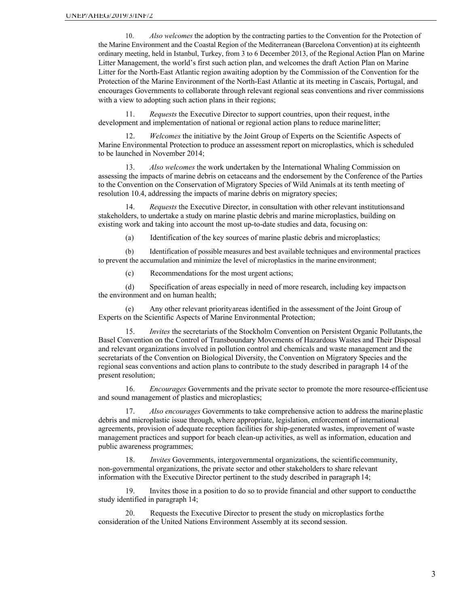10. *Also welcomes* the adoption by the contracting parties to the Convention for the Protection of the Marine Environment and the Coastal Region of the Mediterranean (Barcelona Convention) at its eighteenth ordinary meeting, held in Istanbul, Turkey, from 3 to 6 December 2013, of the Regional Action Plan on Marine Litter Management, the world's first such action plan, and welcomes the draft Action Plan on Marine Litter for the North-East Atlantic region awaiting adoption by the Commission of the Convention for the Protection of the Marine Environment of the North-East Atlantic at its meeting in Cascais, Portugal, and encourages Governments to collaborate through relevant regional seas conventions and river commissions with a view to adopting such action plans in their regions;

11. *Requests* the Executive Director to support countries, upon their request, inthe development and implementation of national or regional action plans to reduce marinelitter;

12. *Welcomes* the initiative by the Joint Group of Experts on the Scientific Aspects of Marine Environmental Protection to produce an assessment report on microplastics, which is scheduled to be launched in November 2014;

13. *Also welcomes* the work undertaken by the International Whaling Commission on assessing the impacts of marine debris on cetaceans and the endorsement by the Conference of the Parties to the Convention on the Conservation of Migratory Species of Wild Animals at its tenth meeting of resolution 10.4, addressing the impacts of marine debris on migratory species;

14. *Requests* the Executive Director, in consultation with other relevant institutionsand stakeholders, to undertake a study on marine plastic debris and marine microplastics, building on existing work and taking into account the most up-to-date studies and data, focusing on:

(a) Identification of the key sources of marine plastic debris and microplastics;

(b) Identification of possible measures and best available techniques and environmental practices to prevent the accumulation and minimize the level of microplastics in the marine environment;

(c) Recommendations for the most urgent actions;

(d) Specification of areas especially in need of more research, including key impactson the environment and on human health;

(e) Any other relevant priorityareas identified in the assessment of the Joint Group of Experts on the Scientific Aspects of Marine Environmental Protection;

15. *Invites* the secretariats of the Stockholm Convention on Persistent Organic Pollutants,the Basel Convention on the Control of Transboundary Movements of Hazardous Wastes and Their Disposal and relevant organizations involved in pollution control and chemicals and waste management and the secretariats of the Convention on Biological Diversity, the Convention on Migratory Species and the regional seas conventions and action plans to contribute to the study described in paragraph 14 of the present resolution;

16. *Encourages* Governments and the private sector to promote the more resource-efficientuse and sound management of plastics and microplastics;

17. *Also encourages* Governments to take comprehensive action to address the marineplastic debris and microplastic issue through, where appropriate, legislation, enforcement of international agreements, provision of adequate reception facilities for ship-generated wastes, improvement of waste management practices and support for beach clean-up activities, as well as information, education and public awareness programmes;

18. *Invites* Governments, intergovernmental organizations, the scientificcommunity, non-governmental organizations, the private sector and other stakeholders to share relevant information with the Executive Director pertinent to the study described in paragraph 14;

19. Invites those in a position to do so to provide financial and other support to conductthe study identified in paragraph 14;

20. Requests the Executive Director to present the study on microplastics forthe consideration of the United Nations Environment Assembly at its second session.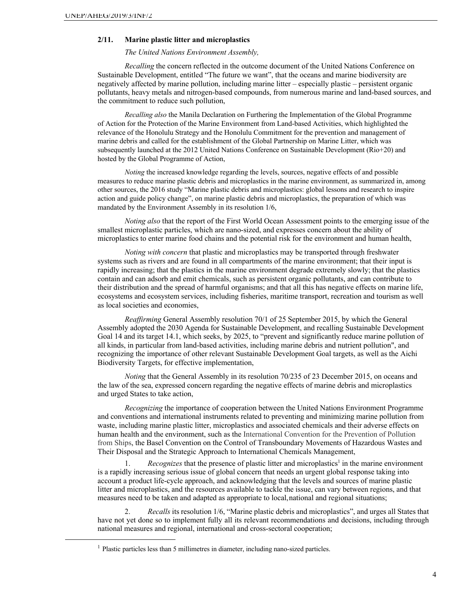#### **2/11. Marine plastic litter and microplastics**

*The United Nations Environment Assembly,*

*Recalling* the concern reflected in the outcome document of the United Nations Conference on Sustainable Development, entitled "The future we want", that the oceans and marine biodiversity are negatively affected by marine pollution, including marine litter – especially plastic – persistent organic pollutants, heavy metals and nitrogen-based compounds, from numerous marine and land-based sources, and the commitment to reduce such pollution,

*Recalling also* the Manila Declaration on Furthering the Implementation of the Global Programme of Action for the Protection of the Marine Environment from Land-based Activities, which highlighted the relevance of the Honolulu Strategy and the Honolulu Commitment for the prevention and management of marine debris and called for the establishment of the Global Partnership on Marine Litter, which was subsequently launched at the 2012 United Nations Conference on Sustainable Development (Rio+20) and hosted by the Global Programme of Action,

*Noting* the increased knowledge regarding the levels, sources, negative effects of and possible measures to reduce marine plastic debris and microplastics in the marine environment, as summarized in, among other sources, the 2016 study "Marine plastic debris and microplastics: global lessons and research to inspire action and guide policy change", on marine plastic debris and microplastics, the preparation of which was mandated by the Environment Assembly in its resolution 1/6,

*Noting also* that the report of the First World Ocean Assessment points to the emerging issue of the smallest microplastic particles, which are nano-sized, and expresses concern about the ability of microplastics to enter marine food chains and the potential risk for the environment and human health,

*Noting with concern* that plastic and microplastics may be transported through freshwater systems such as rivers and are found in all compartments of the marine environment; that their input is rapidly increasing; that the plastics in the marine environment degrade extremely slowly; that the plastics contain and can adsorb and emit chemicals, such as persistent organic pollutants, and can contribute to their distribution and the spread of harmful organisms; and that all this has negative effects on marine life, ecosystems and ecosystem services, including fisheries, maritime transport, recreation and tourism as well as local societies and economies,

*Reaffirming* General Assembly resolution 70/1 of 25 September 2015, by which the General Assembly adopted the 2030 Agenda for Sustainable Development, and recalling Sustainable Development Goal 14 and its target 14.1, which seeks, by 2025, to "prevent and significantly reduce marine pollution of all kinds, in particular from land-based activities, including marine debris and nutrient pollution", and recognizing the importance of other relevant Sustainable Development Goal targets, as well as the Aichi Biodiversity Targets, for effective implementation,

*Noting* that the General Assembly in its resolution 70/235 of 23 December 2015, on oceans and the law of the sea, expressed concern regarding the negative effects of marine debris and microplastics and urged States to take action,

*Recognizing* the importance of cooperation between the United Nations Environment Programme and conventions and international instruments related to preventing and minimizing marine pollution from waste, including marine plastic litter, microplastics and associated chemicals and their adverse effects on human health and the environment, such as the International Convention for the Prevention of Pollution from Ships, the Basel Convention on the Control of Transboundary Movements of Hazardous Wastes and Their Disposal and the Strategic Approach to International Chemicals Management,

1. *Recognizes* that the presence of plastic litter and microplastics<sup>1</sup> in the marine environment is a rapidly increasing serious issue of global concern that needs an urgent global response taking into account a product life-cycle approach, and acknowledging that the levels and sources of marine plastic litter and microplastics, and the resources available to tackle the issue, can vary between regions, and that measures need to be taken and adapted as appropriate to local,national and regional situations;

2. *Recalls* its resolution 1/6, "Marine plastic debris and microplastics", and urges all States that have not yet done so to implement fully all its relevant recommendations and decisions, including through national measures and regional, international and cross-sectoral cooperation;

<sup>&</sup>lt;sup>1</sup> Plastic particles less than 5 millimetres in diameter, including nano-sized particles.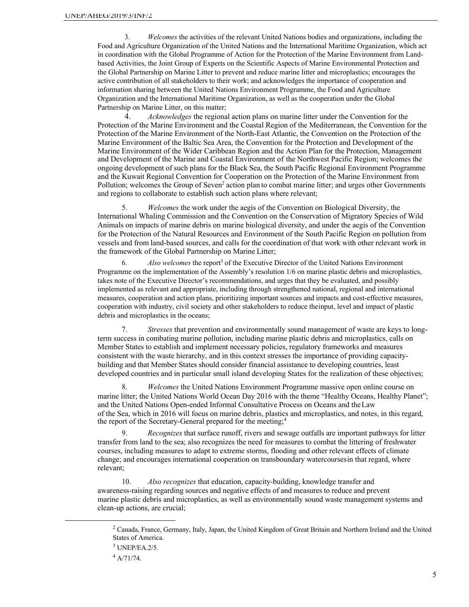3. *Welcomes* the activities of the relevant United Nations bodies and organizations, including the Food and Agriculture Organization of the United Nations and the International Maritime Organization, which act in coordination with the Global Programme of Action for the Protection of the Marine Environment from Landbased Activities, the Joint Group of Experts on the Scientific Aspects of Marine Environmental Protection and the Global Partnership on Marine Litter to prevent and reduce marine litter and microplastics; encourages the active contribution of all stakeholders to their work; and acknowledges the importance of cooperation and information sharing between the United Nations Environment Programme, the Food and Agriculture Organization and the International Maritime Organization, as well as the cooperation under the Global Partnership on Marine Litter, on this matter;

4. *Acknowledges* the regional action plans on marine litter under the Convention for the Protection of the Marine Environment and the Coastal Region of the Mediterranean, the Convention for the Protection of the Marine Environment of the North-East Atlantic, the Convention on the Protection of the Marine Environment of the Baltic Sea Area, the Convention for the Protection and Development of the Marine Environment of the Wider Caribbean Region and the Action Plan for the Protection, Management and Development of the Marine and Coastal Environment of the Northwest Pacific Region; welcomes the ongoing development of such plans for the Black Sea, the South Pacific Regional Environment Programme and the Kuwait Regional Convention for Cooperation on the Protection of the Marine Environment from Pollution; welcomes the Group of Seven<sup>2</sup> action plan to combat marine litter; and urges other Governments and regions to collaborate to establish such action plans where relevant;

5. *Welcomes* the work under the aegis of the Convention on Biological Diversity, the International Whaling Commission and the Convention on the Conservation of Migratory Species of Wild Animals on impacts of marine debris on marine biological diversity, and under the aegis of the Convention for the Protection of the Natural Resources and Environment of the South Pacific Region on pollution from vessels and from land-based sources, and calls for the coordination of that work with other relevant work in the framework of the Global Partnership on Marine Litter;

6. *Also welcomes* the report<sup>3</sup> of the Executive Director of the United Nations Environment Programme on the implementation of the Assembly's resolution 1/6 on marine plastic debris and microplastics, takes note of the Executive Director's recommendations, and urges that they be evaluated, and possibly implemented as relevant and appropriate, including through strengthened national, regional and international measures, cooperation and action plans, prioritizing important sources and impacts and cost-effective measures, cooperation with industry, civil society and other stakeholders to reduce theinput, level and impact of plastic debris and microplastics in the oceans;

7. *Stresses* that prevention and environmentally sound management of waste are keys to longterm success in combating marine pollution, including marine plastic debris and microplastics, calls on Member States to establish and implement necessary policies, regulatory frameworks and measures consistent with the waste hierarchy, and in this context stresses the importance of providing capacitybuilding and that Member States should consider financial assistance to developing countries, least developed countries and in particular small island developing States for the realization of these objectives;

8. *Welcomes* the United Nations Environment Programme massive open online course on marine litter; the United Nations World Ocean Day 2016 with the theme "Healthy Oceans, Healthy Planet"; and the United Nations Open-ended Informal Consultative Process on Oceans and theLaw of the Sea, which in 2016 will focus on marine debris, plastics and microplastics, and notes, in this regard, the report of the Secretary-General prepared for the meeting;<sup>4</sup>

9. *Recognizes* that surface runoff, rivers and sewage outfalls are important pathways for litter transfer from land to the sea; also recognizes the need for measures to combat the littering of freshwater courses, including measures to adapt to extreme storms, flooding and other relevant effects of climate change; and encourages international cooperation on transboundary watercoursesin that regard, where relevant;

10. *Also recognizes* that education, capacity-building, knowledge transfer and awareness-raising regarding sources and negative effects of and measures to reduce and prevent marine plastic debris and microplastics, as well as environmentally sound waste management systems and clean-up actions, are crucial;

 $2$  Canada, France, Germany, Italy, Japan, the United Kingdom of Great Britain and Northern Ireland and the United States of America.

 $3$  UNEP/EA.2/5.

<sup>4</sup> A/71/74.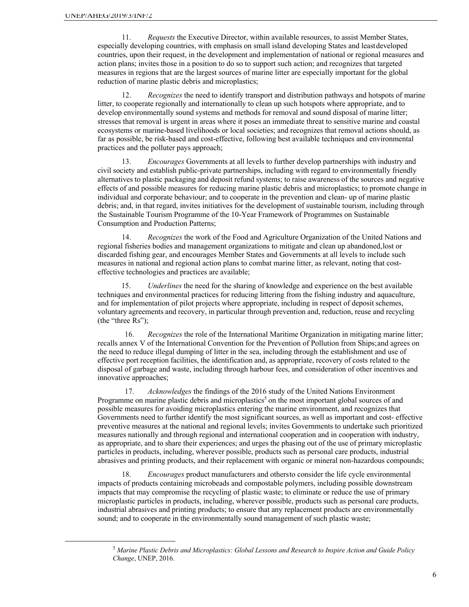11. *Requests* the Executive Director, within available resources, to assist Member States, especially developing countries, with emphasis on small island developing States and leastdeveloped countries, upon their request, in the development and implementation of national or regional measures and action plans; invites those in a position to do so to support such action; and recognizes that targeted measures in regions that are the largest sources of marine litter are especially important for the global reduction of marine plastic debris and microplastics;

12. *Recognizes* the need to identify transport and distribution pathways and hotspots of marine litter, to cooperate regionally and internationally to clean up such hotspots where appropriate, and to develop environmentally sound systems and methods for removal and sound disposal of marine litter; stresses that removal is urgent in areas where it poses an immediate threat to sensitive marine and coastal ecosystems or marine-based livelihoods or local societies; and recognizes that removal actions should, as far as possible, be risk-based and cost-effective, following best available techniques and environmental practices and the polluter pays approach;

13. *Encourages* Governments at all levels to further develop partnerships with industry and civil society and establish public-private partnerships, including with regard to environmentally friendly alternatives to plastic packaging and deposit refund systems; to raise awareness of the sources and negative effects of and possible measures for reducing marine plastic debris and microplastics; to promote change in individual and corporate behaviour; and to cooperate in the prevention and clean- up of marine plastic debris; and, in that regard, invites initiatives for the development of sustainable tourism, including through the Sustainable Tourism Programme of the 10-Year Framework of Programmes on Sustainable Consumption and Production Patterns;

14. *Recognizes* the work of the Food and Agriculture Organization of the United Nations and regional fisheries bodies and management organizations to mitigate and clean up abandoned,lost or discarded fishing gear, and encourages Member States and Governments at all levels to include such measures in national and regional action plans to combat marine litter, as relevant, noting that costeffective technologies and practices are available;

15. *Underlines* the need for the sharing of knowledge and experience on the best available techniques and environmental practices for reducing littering from the fishing industry and aquaculture, and for implementation of pilot projects where appropriate, including in respect of deposit schemes, voluntary agreements and recovery, in particular through prevention and, reduction, reuse and recycling (the "three Rs");

16. *Recognizes* the role of the International Maritime Organization in mitigating marine litter; recalls annex V of the International Convention for the Prevention of Pollution from Ships;and agrees on the need to reduce illegal dumping of litter in the sea, including through the establishment and use of effective port reception facilities, the identification and, as appropriate, recovery of costs related to the disposal of garbage and waste, including through harbour fees, and consideration of other incentives and innovative approaches;

17. *Acknowledges* the findings of the 2016 study of the United Nations Environment Programme on marine plastic debris and microplastics<sup>5</sup> on the most important global sources of and possible measures for avoiding microplastics entering the marine environment, and recognizes that Governments need to further identify the most significant sources, as well as important and cost- effective preventive measures at the national and regional levels; invites Governments to undertake such prioritized measures nationally and through regional and international cooperation and in cooperation with industry, as appropriate, and to share their experiences; and urges the phasing out of the use of primary microplastic particles in products, including, wherever possible, products such as personal care products, industrial abrasives and printing products, and their replacement with organic or mineral non-hazardous compounds;

18. *Encourages* product manufacturers and othersto consider the life cycle environmental impacts of products containing microbeads and compostable polymers, including possible downstream impacts that may compromise the recycling of plastic waste; to eliminate or reduce the use of primary microplastic particles in products, including, wherever possible, products such as personal care products, industrial abrasives and printing products; to ensure that any replacement products are environmentally sound; and to cooperate in the environmentally sound management of such plastic waste;

<sup>5</sup> *Marine Plastic Debris and Microplastics: Global Lessons and Research to Inspire Action and Guide Policy Change*, UNEP, 2016.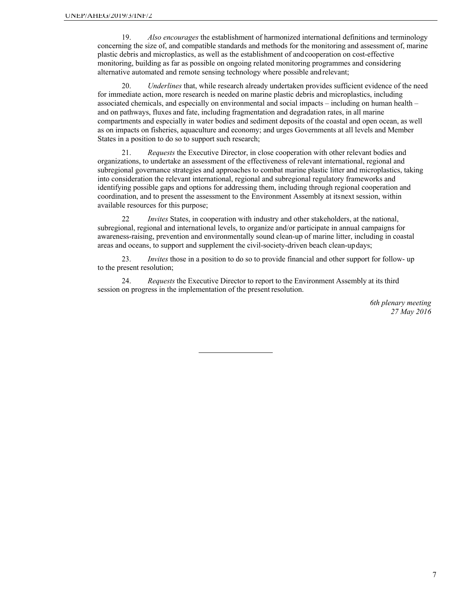19. *Also encourages* the establishment of harmonized international definitions and terminology concerning the size of, and compatible standards and methods for the monitoring and assessment of, marine plastic debris and microplastics, as well as the establishment of andcooperation on cost-effective monitoring, building as far as possible on ongoing related monitoring programmes and considering alternative automated and remote sensing technology where possible andrelevant;

20. *Underlines* that, while research already undertaken provides sufficient evidence of the need for immediate action, more research is needed on marine plastic debris and microplastics, including associated chemicals, and especially on environmental and social impacts – including on human health – and on pathways, fluxes and fate, including fragmentation and degradation rates, in all marine compartments and especially in water bodies and sediment deposits of the coastal and open ocean, as well as on impacts on fisheries, aquaculture and economy; and urges Governments at all levels and Member States in a position to do so to support such research;

21. *Requests* the Executive Director, in close cooperation with other relevant bodies and organizations, to undertake an assessment of the effectiveness of relevant international, regional and subregional governance strategies and approaches to combat marine plastic litter and microplastics, taking into consideration the relevant international, regional and subregional regulatory frameworks and identifying possible gaps and options for addressing them, including through regional cooperation and coordination, and to present the assessment to the Environment Assembly at itsnext session, within available resources for this purpose;

22 *Invites* States, in cooperation with industry and other stakeholders, at the national, subregional, regional and international levels, to organize and/or participate in annual campaigns for awareness-raising, prevention and environmentally sound clean-up of marine litter, including in coastal areas and oceans, to support and supplement the civil-society-driven beach clean-updays;

23. *Invites* those in a position to do so to provide financial and other support for follow- up to the present resolution;

24. *Requests* the Executive Director to report to the Environment Assembly at its third session on progress in the implementation of the present resolution.

> *6th plenary meeting 27 May 2016*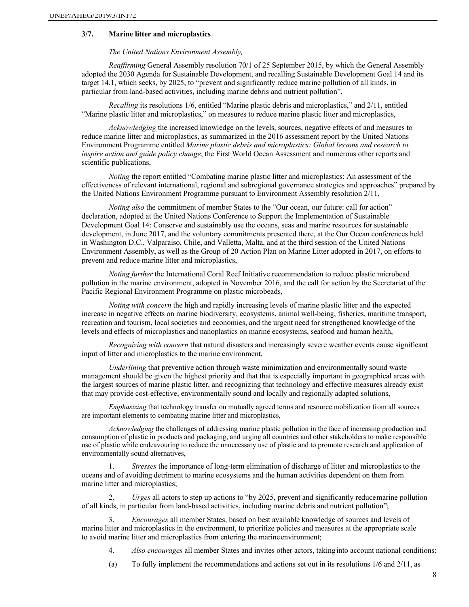### **3/7. Marine litter and microplastics**

*The United Nations Environment Assembly,*

*Reaffirming* General Assembly resolution 70/1 of 25 September 2015, by which the General Assembly adopted the 2030 Agenda for Sustainable Development, and recalling Sustainable Development Goal 14 and its target 14.1, which seeks, by 2025, to "prevent and significantly reduce marine pollution of all kinds, in particular from land-based activities, including marine debris and nutrient pollution",

*Recalling* its resolutions 1/6, entitled "Marine plastic debris and microplastics," and 2/11, entitled "Marine plastic litter and microplastics," on measures to reduce marine plastic litter and microplastics,

*Acknowledging* the increased knowledge on the levels, sources, negative effects of and measures to reduce marine litter and microplastics, as summarized in the 2016 assessment report by the United Nations Environment Programme entitled *Marine plastic debris and microplastics: Global lessons and research to inspire action and guide policy change*, the First World Ocean Assessment and numerous other reports and scientific publications,

*Noting* the report entitled "Combating marine plastic litter and microplastics: An assessment of the effectiveness of relevant international, regional and subregional governance strategies and approaches" prepared by the United Nations Environment Programme pursuant to Environment Assembly resolution 2/11,

*Noting also* the commitment of member States to the "Our ocean, our future: call for action" declaration, adopted at the United Nations Conference to Support the Implementation of Sustainable Development Goal 14: Conserve and sustainably use the oceans, seas and marine resources for sustainable development, in June 2017, and the voluntary commitments presented there, at the Our Ocean conferences held in Washington D.C., Valparaiso, Chile, and Valletta, Malta, and at the third session of the United Nations Environment Assembly, as well as the Group of 20 Action Plan on Marine Litter adopted in 2017, on efforts to prevent and reduce marine litter and microplastics,

*Noting further* the International Coral Reef Initiative recommendation to reduce plastic microbead pollution in the marine environment, adopted in November 2016, and the call for action by the Secretariat of the Pacific Regional Environment Programme on plastic microbeads,

*Noting with concern* the high and rapidly increasing levels of marine plastic litter and the expected increase in negative effects on marine biodiversity, ecosystems, animal well-being, fisheries, maritime transport, recreation and tourism, local societies and economies, and the urgent need for strengthened knowledge of the levels and effects of microplastics and nanoplastics on marine ecosystems, seafood and human health,

*Recognizing with concern* that natural disasters and increasingly severe weather events cause significant input of litter and microplastics to the marine environment,

*Underlining* that preventive action through waste minimization and environmentally sound waste management should be given the highest priority and that that is especially important in geographical areas with the largest sources of marine plastic litter, and recognizing that technology and effective measures already exist that may provide cost-effective, environmentally sound and locally and regionally adapted solutions,

*Emphasizing* that technology transfer on mutually agreed terms and resource mobilization from all sources are important elements to combating marine litter and microplastics,

*Acknowledging* the challenges of addressing marine plastic pollution in the face of increasing production and consumption of plastic in products and packaging, and urging all countries and other stakeholders to make responsible use of plastic while endeavouring to reduce the unnecessary use of plastic and to promote research and application of environmentally sound alternatives,

1. *Stresses* the importance of long-term elimination of discharge of litter and microplastics to the oceans and of avoiding detriment to marine ecosystems and the human activities dependent on them from marine litter and microplastics;

2. *Urges* all actors to step up actions to "by 2025, prevent and significantly reducemarine pollution of all kinds, in particular from land-based activities, including marine debris and nutrient pollution";

3. *Encourages* all member States, based on best available knowledge of sources and levels of marine litter and microplastics in the environment, to prioritize policies and measures at the appropriate scale to avoid marine litter and microplastics from entering the marineenvironment;

4. *Also encourages* all member States and invites other actors, takinginto account national conditions:

(a) To fully implement the recommendations and actions set out in its resolutions 1/6 and 2/11, as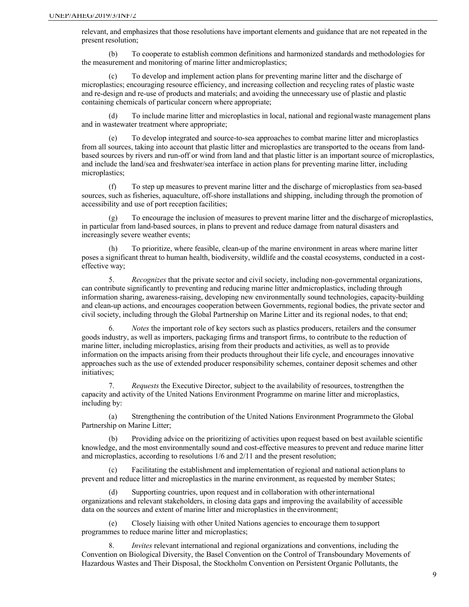relevant, and emphasizes that those resolutions have important elements and guidance that are not repeated in the present resolution;

(b) To cooperate to establish common definitions and harmonized standards and methodologies for the measurement and monitoring of marine litter andmicroplastics;

To develop and implement action plans for preventing marine litter and the discharge of microplastics; encouraging resource efficiency, and increasing collection and recycling rates of plastic waste and re-design and re-use of products and materials; and avoiding the unnecessary use of plastic and plastic containing chemicals of particular concern where appropriate;

(d) To include marine litter and microplastics in local, national and regionalwaste management plans and in wastewater treatment where appropriate;

(e) To develop integrated and source-to-sea approaches to combat marine litter and microplastics from all sources, taking into account that plastic litter and microplastics are transported to the oceans from landbased sources by rivers and run-off or wind from land and that plastic litter is an important source of microplastics, and include the land/sea and freshwater/sea interface in action plans for preventing marine litter, including microplastics;

(f) To step up measures to prevent marine litter and the discharge of microplastics from sea-based sources, such as fisheries, aquaculture, off-shore installations and shipping, including through the promotion of accessibility and use of port reception facilities;

(g) To encourage the inclusion of measures to prevent marine litter and the dischargeof microplastics, in particular from land-based sources, in plans to prevent and reduce damage from natural disasters and increasingly severe weather events;

(h) To prioritize, where feasible, clean-up of the marine environment in areas where marine litter poses a significant threat to human health, biodiversity, wildlife and the coastal ecosystems, conducted in a costeffective way;

5. *Recognizes* that the private sector and civil society, including non-governmental organizations, can contribute significantly to preventing and reducing marine litter andmicroplastics, including through information sharing, awareness-raising, developing new environmentally sound technologies, capacity-building and clean-up actions, and encourages cooperation between Governments, regional bodies, the private sector and civil society, including through the Global Partnership on Marine Litter and its regional nodes, to that end;

6. *Notes* the important role of key sectors such as plastics producers, retailers and the consumer goods industry, as well as importers, packaging firms and transport firms, to contribute to the reduction of marine litter, including microplastics, arising from their products and activities, as well as to provide information on the impacts arising from their products throughout their life cycle, and encourages innovative approaches such as the use of extended producer responsibility schemes, container deposit schemes and other initiatives;

7. *Requests* the Executive Director, subject to the availability of resources, tostrengthen the capacity and activity of the United Nations Environment Programme on marine litter and microplastics, including by:

(a) Strengthening the contribution of the United Nations Environment Programmeto the Global Partnership on Marine Litter;

(b) Providing advice on the prioritizing of activities upon request based on best available scientific knowledge, and the most environmentally sound and cost-effective measures to prevent and reduce marine litter and microplastics, according to resolutions 1/6 and 2/11 and the present resolution;

(c) Facilitating the establishment and implementation of regional and national actionplans to prevent and reduce litter and microplastics in the marine environment, as requested by member States;

(d) Supporting countries, upon request and in collaboration with otherinternational organizations and relevant stakeholders, in closing data gaps and improving the availability of accessible data on the sources and extent of marine litter and microplastics in theenvironment;

(e) Closely liaising with other United Nations agencies to encourage them tosupport programmes to reduce marine litter and microplastics;

*Invites* relevant international and regional organizations and conventions, including the Convention on Biological Diversity, the Basel Convention on the Control of Transboundary Movements of Hazardous Wastes and Their Disposal, the Stockholm Convention on Persistent Organic Pollutants, the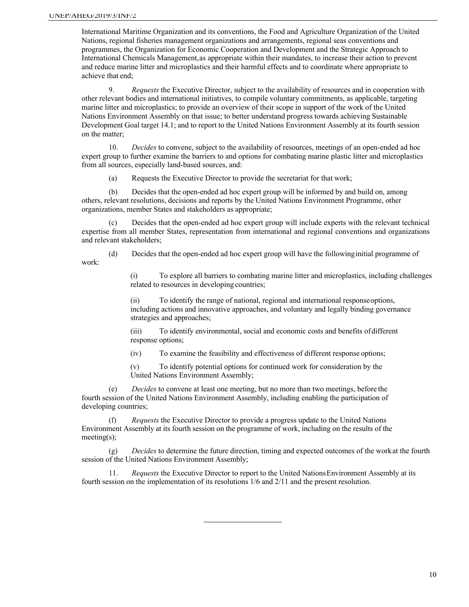International Maritime Organization and its conventions, the Food and Agriculture Organization of the United Nations, regional fisheries management organizations and arrangements, regional seas conventions and programmes, the Organization for Economic Cooperation and Development and the Strategic Approach to International Chemicals Management,as appropriate within their mandates, to increase their action to prevent and reduce marine litter and microplastics and their harmful effects and to coordinate where appropriate to achieve that end;

9. *Requests* the Executive Director, subject to the availability of resources and in cooperation with other relevant bodies and international initiatives, to compile voluntary commitments, as applicable, targeting marine litter and microplastics; to provide an overview of their scope in support of the work of the United Nations Environment Assembly on that issue; to better understand progress towards achieving Sustainable Development Goal target 14.1; and to report to the United Nations Environment Assembly at its fourth session on the matter;

10. *Decides* to convene, subject to the availability of resources, meetings of an open-ended ad hoc expert group to further examine the barriers to and options for combating marine plastic litter and microplastics from all sources, especially land-based sources, and:

(a) Requests the Executive Director to provide the secretariat for that work;

(b) Decides that the open-ended ad hoc expert group will be informed by and build on, among others, relevant resolutions, decisions and reports by the United Nations Environment Programme, other organizations, member States and stakeholders as appropriate;

(c) Decides that the open-ended ad hoc expert group will include experts with the relevant technical expertise from all member States, representation from international and regional conventions and organizations and relevant stakeholders;

(d) Decides that the open-ended ad hoc expert group will have the followinginitial programme of work:

> (i) To explore all barriers to combating marine litter and microplastics, including challenges related to resources in developing countries;

(ii) To identify the range of national, regional and international responseoptions, including actions and innovative approaches, and voluntary and legally binding governance strategies and approaches;

(iii) To identify environmental, social and economic costs and benefits ofdifferent response options;

(iv) To examine the feasibility and effectiveness of different response options;

(v) To identify potential options for continued work for consideration by the United Nations Environment Assembly;

(e) *Decides* to convene at least one meeting, but no more than two meetings, before the fourth session of the United Nations Environment Assembly, including enabling the participation of developing countries;

(f) *Requests* the Executive Director to provide a progress update to the United Nations Environment Assembly at its fourth session on the programme of work, including on the results of the meeting(s);

(g) *Decides* to determine the future direction, timing and expected outcomes of the workat the fourth session of the United Nations Environment Assembly;

11. *Requests* the Executive Director to report to the United NationsEnvironment Assembly at its fourth session on the implementation of its resolutions 1/6 and 2/11 and the present resolution.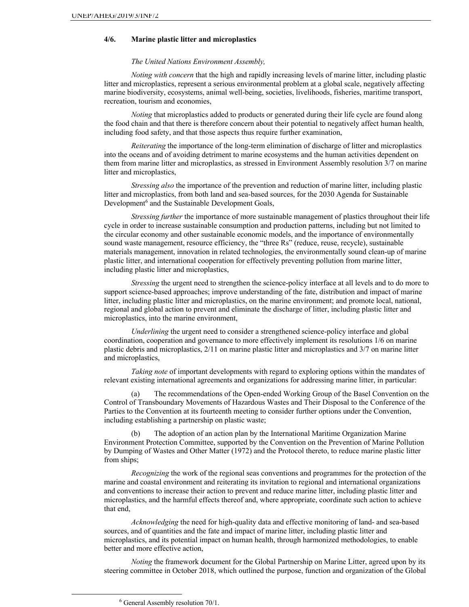## **4/6. Marine plastic litter and microplastics**

#### *The United Nations Environment Assembly,*

*Noting with concern* that the high and rapidly increasing levels of marine litter, including plastic litter and microplastics, represent a serious environmental problem at a global scale, negatively affecting marine biodiversity, ecosystems, animal well-being, societies, livelihoods, fisheries, maritime transport, recreation, tourism and economies,

*Noting* that microplastics added to products or generated during their life cycle are found along the food chain and that there is therefore concern about their potential to negatively affect human health, including food safety, and that those aspects thus require further examination,

*Reiterating* the importance of the long-term elimination of discharge of litter and microplastics into the oceans and of avoiding detriment to marine ecosystems and the human activities dependent on them from marine litter and microplastics, as stressed in Environment Assembly resolution 3/7 on marine litter and microplastics,

*Stressing also* the importance of the prevention and reduction of marine litter, including plastic litter and microplastics, from both land and sea-based sources, for the 2030 Agenda for Sustainable Development<sup>6</sup> and the Sustainable Development Goals,

*Stressing further* the importance of more sustainable management of plastics throughout their life cycle in order to increase sustainable consumption and production patterns, including but not limited to the circular economy and other sustainable economic models, and the importance of environmentally sound waste management, resource efficiency, the "three Rs" (reduce, reuse, recycle), sustainable materials management, innovation in related technologies, the environmentally sound clean-up of marine plastic litter, and international cooperation for effectively preventing pollution from marine litter, including plastic litter and microplastics,

*Stressing* the urgent need to strengthen the science-policy interface at all levels and to do more to support science-based approaches; improve understanding of the fate, distribution and impact of marine litter, including plastic litter and microplastics, on the marine environment; and promote local, national, regional and global action to prevent and eliminate the discharge of litter, including plastic litter and microplastics, into the marine environment,

*Underlining* the urgent need to consider a strengthened science-policy interface and global coordination, cooperation and governance to more effectively implement its resolutions 1/6 on marine plastic debris and microplastics, 2/11 on marine plastic litter and microplastics and 3/7 on marine litter and microplastics,

*Taking note* of important developments with regard to exploring options within the mandates of relevant existing international agreements and organizations for addressing marine litter, in particular:

(a) The recommendations of the Open-ended Working Group of the Basel Convention on the Control of Transboundary Movements of Hazardous Wastes and Their Disposal to the Conference of the Parties to the Convention at its fourteenth meeting to consider further options under the Convention, including establishing a partnership on plastic waste;

The adoption of an action plan by the International Maritime Organization Marine Environment Protection Committee, supported by the Convention on the Prevention of Marine Pollution by Dumping of Wastes and Other Matter (1972) and the Protocol thereto, to reduce marine plastic litter from ships;

*Recognizing* the work of the regional seas conventions and programmes for the protection of the marine and coastal environment and reiterating its invitation to regional and international organizations and conventions to increase their action to prevent and reduce marine litter, including plastic litter and microplastics, and the harmful effects thereof and, where appropriate, coordinate such action to achieve that end,

*Acknowledging* the need for high-quality data and effective monitoring of land- and sea-based sources, and of quantities and the fate and impact of marine litter, including plastic litter and microplastics, and its potential impact on human health, through harmonized methodologies, to enable better and more effective action,

*Noting* the framework document for the Global Partnership on Marine Litter, agreed upon by its steering committee in October 2018, which outlined the purpose, function and organization of the Global

<sup>6</sup> General Assembly resolution 70/1.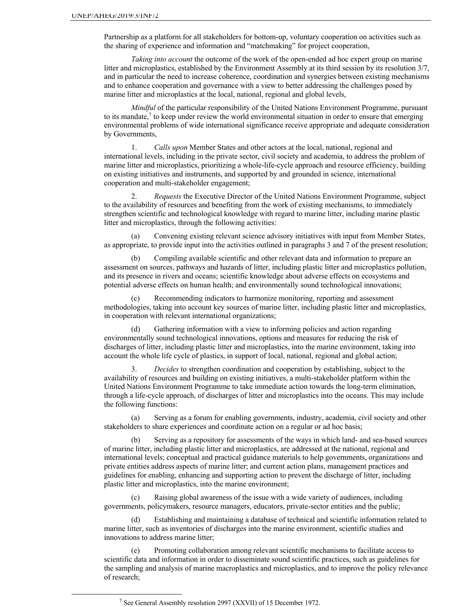Partnership as a platform for all stakeholders for bottom-up, voluntary cooperation on activities such as the sharing of experience and information and "matchmaking" for project cooperation,

*Taking into account* the outcome of the work of the open-ended ad hoc expert group on marine litter and microplastics, established by the Environment Assembly at its third session by its resolution 3/7, and in particular the need to increase coherence, coordination and synergies between existing mechanisms and to enhance cooperation and governance with a view to better addressing the challenges posed by marine litter and microplastics at the local, national, regional and global levels,

*Mindful* of the particular responsibility of the United Nations Environment Programme, pursuant to its mandate,7 to keep under review the world environmental situation in order to ensure that emerging environmental problems of wide international significance receive appropriate and adequate consideration by Governments,

1. *Calls upon* Member States and other actors at the local, national, regional and international levels, including in the private sector, civil society and academia, to address the problem of marine litter and microplastics, prioritizing a whole-life-cycle approach and resource efficiency, building on existing initiatives and instruments, and supported by and grounded in science, international cooperation and multi-stakeholder engagement;

2. *Requests* the Executive Director of the United Nations Environment Programme, subject to the availability of resources and benefiting from the work of existing mechanisms, to immediately strengthen scientific and technological knowledge with regard to marine litter, including marine plastic litter and microplastics, through the following activities:

(a) Convening existing relevant science advisory initiatives with input from Member States, as appropriate, to provide input into the activities outlined in paragraphs 3 and 7 of the present resolution;

(b) Compiling available scientific and other relevant data and information to prepare an assessment on sources, pathways and hazards of litter, including plastic litter and microplastics pollution, and its presence in rivers and oceans; scientific knowledge about adverse effects on ecosystems and potential adverse effects on human health; and environmentally sound technological innovations;

(c) Recommending indicators to harmonize monitoring, reporting and assessment methodologies, taking into account key sources of marine litter, including plastic litter and microplastics, in cooperation with relevant international organizations;

Gathering information with a view to informing policies and action regarding environmentally sound technological innovations, options and measures for reducing the risk of discharges of litter, including plastic litter and microplastics, into the marine environment, taking into account the whole life cycle of plastics, in support of local, national, regional and global action;

3. *Decides* to strengthen coordination and cooperation by establishing, subject to the availability of resources and building on existing initiatives, a multi-stakeholder platform within the United Nations Environment Programme to take immediate action towards the long-term elimination, through a life-cycle approach, of discharges of litter and microplastics into the oceans. This may include the following functions:

(a) Serving as a forum for enabling governments, industry, academia, civil society and other stakeholders to share experiences and coordinate action on a regular or ad hoc basis;

(b) Serving as a repository for assessments of the ways in which land- and sea-based sources of marine litter, including plastic litter and microplastics, are addressed at the national, regional and international levels; conceptual and practical guidance materials to help governments, organizations and private entities address aspects of marine litter; and current action plans, management practices and guidelines for enabling, enhancing and supporting action to prevent the discharge of litter, including plastic litter and microplastics, into the marine environment;

(c) Raising global awareness of the issue with a wide variety of audiences, including governments, policymakers, resource managers, educators, private-sector entities and the public;

(d) Establishing and maintaining a database of technical and scientific information related to marine litter, such as inventories of discharges into the marine environment, scientific studies and innovations to address marine litter;

(e) Promoting collaboration among relevant scientific mechanisms to facilitate access to scientific data and information in order to disseminate sound scientific practices, such as guidelines for the sampling and analysis of marine macroplastics and microplastics, and to improve the policy relevance of research;

<sup>7</sup> See General Assembly resolution 2997 (XXVII) of 15 December 1972.